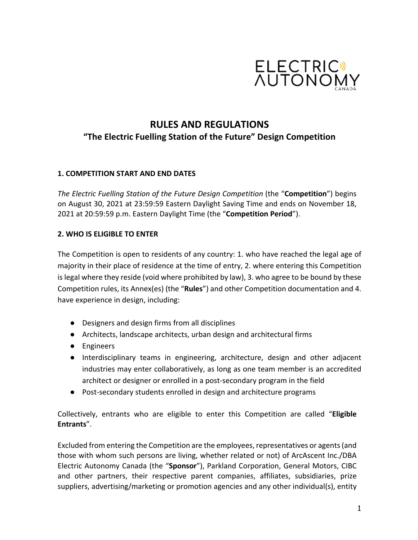

# **RULES AND REGULATIONS "The Electric Fuelling Station of the Future" Design Competition**

#### **1. COMPETITION START AND END DATES**

*The Electric Fuelling Station of the Future Design Competition* (the "**Competition**") begins on August 30, 2021 at 23:59:59 Eastern Daylight Saving Time and ends on November 18, 2021 at 20:59:59 p.m. Eastern Daylight Time (the "**Competition Period**").

#### **2. WHO IS ELIGIBLE TO ENTER**

The Competition is open to residents of any country: 1. who have reached the legal age of majority in their place of residence at the time of entry, 2. where entering this Competition is legal where they reside (void where prohibited by law), 3. who agree to be bound by these Competition rules, its Annex(es) (the "**Rules**") and other Competition documentation and 4. have experience in design, including:

- Designers and design firms from all disciplines
- Architects, landscape architects, urban design and architectural firms
- Engineers
- Interdisciplinary teams in engineering, architecture, design and other adjacent industries may enter collaboratively, as long as one team member is an accredited architect or designer or enrolled in a post-secondary program in the field
- Post-secondary students enrolled in design and architecture programs

Collectively, entrants who are eligible to enter this Competition are called "**Eligible Entrants**".

Excluded from entering the Competition are the employees, representatives or agents (and those with whom such persons are living, whether related or not) of ArcAscent Inc./DBA Electric Autonomy Canada (the "**Sponsor**"), Parkland Corporation, General Motors, CIBC and other partners, their respective parent companies, affiliates, subsidiaries, prize suppliers, advertising/marketing or promotion agencies and any other individual(s), entity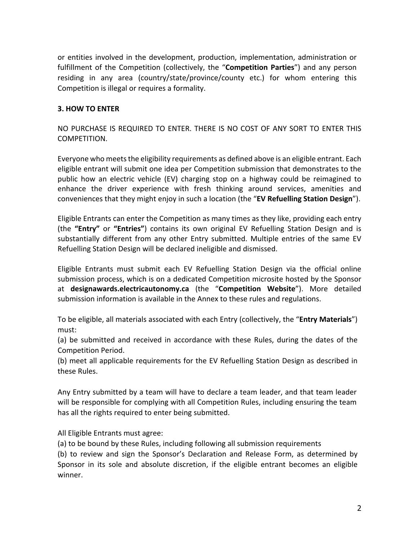or entities involved in the development, production, implementation, administration or fulfillment of the Competition (collectively, the "**Competition Parties**") and any person residing in any area (country/state/province/county etc.) for whom entering this Competition is illegal or requires a formality.

## **3. HOW TO ENTER**

NO PURCHASE IS REQUIRED TO ENTER. THERE IS NO COST OF ANY SORT TO ENTER THIS COMPETITION.

Everyone who meets the eligibility requirements as defined above is an eligible entrant. Each eligible entrant will submit one idea per Competition submission that demonstrates to the public how an electric vehicle (EV) charging stop on a highway could be reimagined to enhance the driver experience with fresh thinking around services, amenities and conveniences that they might enjoy in such a location (the "**EV Refuelling Station Design**").

Eligible Entrants can enter the Competition as many times as they like, providing each entry (the **"Entry"** or **"Entries"**) contains its own original EV Refuelling Station Design and is substantially different from any other Entry submitted. Multiple entries of the same EV Refuelling Station Design will be declared ineligible and dismissed.

Eligible Entrants must submit each EV Refuelling Station Design via the official online submission process, which is on a dedicated Competition microsite hosted by the Sponsor at **designawards.electricautonomy.ca** (the "**Competition Website**"). More detailed submission information is available in the Annex to these rules and regulations.

To be eligible, all materials associated with each Entry (collectively, the "**Entry Materials**") must:

(a) be submitted and received in accordance with these Rules, during the dates of the Competition Period.

(b) meet all applicable requirements for the EV Refuelling Station Design as described in these Rules.

Any Entry submitted by a team will have to declare a team leader, and that team leader will be responsible for complying with all Competition Rules, including ensuring the team has all the rights required to enter being submitted.

All Eligible Entrants must agree:

(a) to be bound by these Rules, including following all submission requirements

(b) to review and sign the Sponsor's Declaration and Release Form, as determined by Sponsor in its sole and absolute discretion, if the eligible entrant becomes an eligible winner.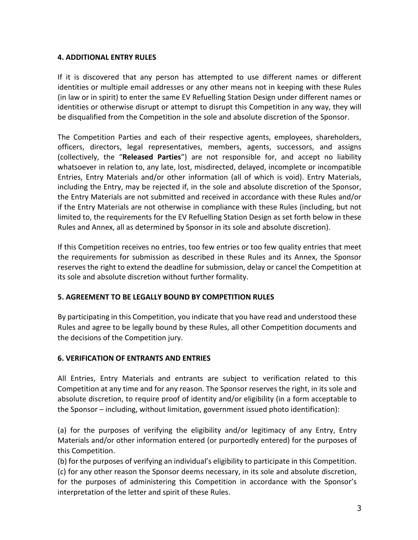#### **4. ADDITIONAL ENTRY RULES**

If it is discovered that any person has attempted to use different names or different identities or multiple email addresses or any other means not in keeping with these Rules (in law or in spirit) to enter the same EV Refuelling Station Design under different names or identities or otherwise disrupt or attempt to disrupt this Competition in any way, they will be disqualified from the Competition in the sole and absolute discretion of the Sponsor.

The Competition Parties and each of their respective agents, employees, shareholders, officers, directors, legal representatives, members, agents, successors, and assigns (collectively, the "**Released Parties**") are not responsible for, and accept no liability whatsoever in relation to, any late, lost, misdirected, delayed, incomplete or incompatible Entries, Entry Materials and/or other information (all of which is void). Entry Materials, including the Entry, may be rejected if, in the sole and absolute discretion of the Sponsor, the Entry Materials are not submitted and received in accordance with these Rules and/or if the Entry Materials are not otherwise in compliance with these Rules (including, but not limited to, the requirements for the EV Refuelling Station Design as set forth below in these Rules and Annex, all as determined by Sponsor in its sole and absolute discretion).

If this Competition receives no entries, too few entries or too few quality entries that meet the requirements for submission as described in these Rules and its Annex, the Sponsor reserves the right to extend the deadline for submission, delay or cancel the Competition at its sole and absolute discretion without further formality.

## **5. AGREEMENT TO BE LEGALLY BOUND BY COMPETITION RULES**

By participating in this Competition, you indicate that you have read and understood these Rules and agree to be legally bound by these Rules, all other Competition documents and the decisions of the Competition jury.

## **6. VERIFICATION OF ENTRANTS AND ENTRIES**

All Entries, Entry Materials and entrants are subject to verification related to this Competition at any time and for any reason. The Sponsor reserves the right, in its sole and absolute discretion, to require proof of identity and/or eligibility (in a form acceptable to the Sponsor – including, without limitation, government issued photo identification):

(a) for the purposes of verifying the eligibility and/or legitimacy of any Entry, Entry Materials and/or other information entered (or purportedly entered) for the purposes of this Competition.

(b) for the purposes of verifying an individual's eligibility to participate in this Competition. (c) for any other reason the Sponsor deems necessary, in its sole and absolute discretion, for the purposes of administering this Competition in accordance with the Sponsor's interpretation of the letter and spirit of these Rules.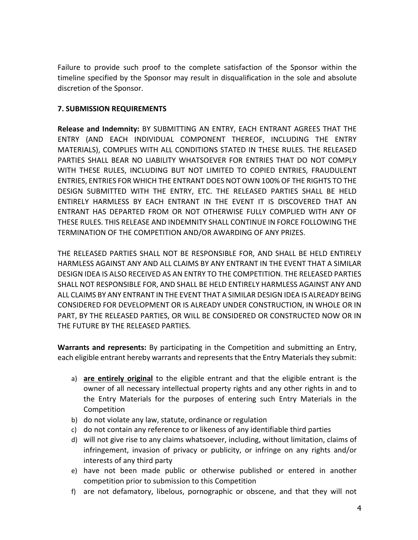Failure to provide such proof to the complete satisfaction of the Sponsor within the timeline specified by the Sponsor may result in disqualification in the sole and absolute discretion of the Sponsor.

# **7. SUBMISSION REQUIREMENTS**

**Release and Indemnity:** BY SUBMITTING AN ENTRY, EACH ENTRANT AGREES THAT THE ENTRY (AND EACH INDIVIDUAL COMPONENT THEREOF, INCLUDING THE ENTRY MATERIALS), COMPLIES WITH ALL CONDITIONS STATED IN THESE RULES. THE RELEASED PARTIES SHALL BEAR NO LIABILITY WHATSOEVER FOR ENTRIES THAT DO NOT COMPLY WITH THESE RULES, INCLUDING BUT NOT LIMITED TO COPIED ENTRIES, FRAUDULENT ENTRIES, ENTRIES FOR WHICH THE ENTRANT DOES NOT OWN 100% OF THE RIGHTS TO THE DESIGN SUBMITTED WITH THE ENTRY, ETC. THE RELEASED PARTIES SHALL BE HELD ENTIRELY HARMLESS BY EACH ENTRANT IN THE EVENT IT IS DISCOVERED THAT AN ENTRANT HAS DEPARTED FROM OR NOT OTHERWISE FULLY COMPLIED WITH ANY OF THESE RULES. THIS RELEASE AND INDEMNITY SHALL CONTINUE IN FORCE FOLLOWING THE TERMINATION OF THE COMPETITION AND/OR AWARDING OF ANY PRIZES.

THE RELEASED PARTIES SHALL NOT BE RESPONSIBLE FOR, AND SHALL BE HELD ENTIRELY HARMLESS AGAINST ANY AND ALL CLAIMS BY ANY ENTRANT IN THE EVENT THAT A SIMILAR DESIGN IDEA IS ALSO RECEIVED AS AN ENTRY TO THE COMPETITION. THE RELEASED PARTIES SHALL NOT RESPONSIBLE FOR, AND SHALL BE HELD ENTIRELY HARMLESS AGAINST ANY AND ALL CLAIMS BY ANY ENTRANT IN THE EVENT THAT A SIMILAR DESIGN IDEA IS ALREADY BEING CONSIDERED FOR DEVELOPMENT OR IS ALREADY UNDER CONSTRUCTION, IN WHOLE OR IN PART, BY THE RELEASED PARTIES, OR WILL BE CONSIDERED OR CONSTRUCTED NOW OR IN THE FUTURE BY THE RELEASED PARTIES.

**Warrants and represents:** By participating in the Competition and submitting an Entry, each eligible entrant hereby warrants and represents that the Entry Materials they submit:

- a) **are entirely original** to the eligible entrant and that the eligible entrant is the owner of all necessary intellectual property rights and any other rights in and to the Entry Materials for the purposes of entering such Entry Materials in the Competition
- b) do not violate any law, statute, ordinance or regulation
- c) do not contain any reference to or likeness of any identifiable third parties
- d) will not give rise to any claims whatsoever, including, without limitation, claims of infringement, invasion of privacy or publicity, or infringe on any rights and/or interests of any third party
- e) have not been made public or otherwise published or entered in another competition prior to submission to this Competition
- f) are not defamatory, libelous, pornographic or obscene, and that they will not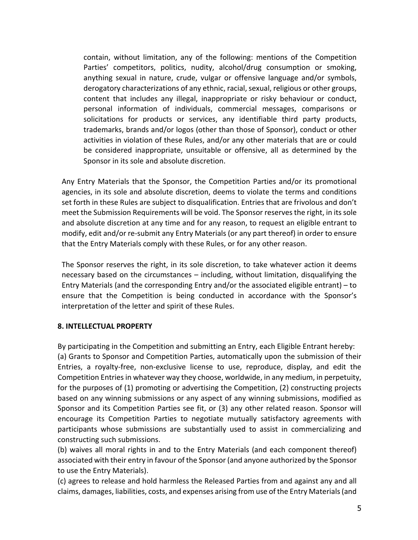contain, without limitation, any of the following: mentions of the Competition Parties' competitors, politics, nudity, alcohol/drug consumption or smoking, anything sexual in nature, crude, vulgar or offensive language and/or symbols, derogatory characterizations of any ethnic, racial, sexual, religious or other groups, content that includes any illegal, inappropriate or risky behaviour or conduct, personal information of individuals, commercial messages, comparisons or solicitations for products or services, any identifiable third party products, trademarks, brands and/or logos (other than those of Sponsor), conduct or other activities in violation of these Rules, and/or any other materials that are or could be considered inappropriate, unsuitable or offensive, all as determined by the Sponsor in its sole and absolute discretion.

Any Entry Materials that the Sponsor, the Competition Parties and/or its promotional agencies, in its sole and absolute discretion, deems to violate the terms and conditions set forth in these Rules are subject to disqualification. Entries that are frivolous and don't meet the Submission Requirements will be void. The Sponsor reserves the right, in its sole and absolute discretion at any time and for any reason, to request an eligible entrant to modify, edit and/or re-submit any Entry Materials (or any part thereof) in order to ensure that the Entry Materials comply with these Rules, or for any other reason.

The Sponsor reserves the right, in its sole discretion, to take whatever action it deems necessary based on the circumstances – including, without limitation, disqualifying the Entry Materials (and the corresponding Entry and/or the associated eligible entrant) – to ensure that the Competition is being conducted in accordance with the Sponsor's interpretation of the letter and spirit of these Rules.

#### **8. INTELLECTUAL PROPERTY**

By participating in the Competition and submitting an Entry, each Eligible Entrant hereby: (a) Grants to Sponsor and Competition Parties, automatically upon the submission of their Entries, a royalty-free, non-exclusive license to use, reproduce, display, and edit the Competition Entries in whatever way they choose, worldwide, in any medium, in perpetuity, for the purposes of (1) promoting or advertising the Competition, (2) constructing projects based on any winning submissions or any aspect of any winning submissions, modified as Sponsor and its Competition Parties see fit, or (3) any other related reason. Sponsor will encourage its Competition Parties to negotiate mutually satisfactory agreements with participants whose submissions are substantially used to assist in commercializing and constructing such submissions.

(b) waives all moral rights in and to the Entry Materials (and each component thereof) associated with their entry in favour of the Sponsor (and anyone authorized by the Sponsor to use the Entry Materials).

(c) agrees to release and hold harmless the Released Parties from and against any and all claims, damages, liabilities, costs, and expenses arising from use of the Entry Materials (and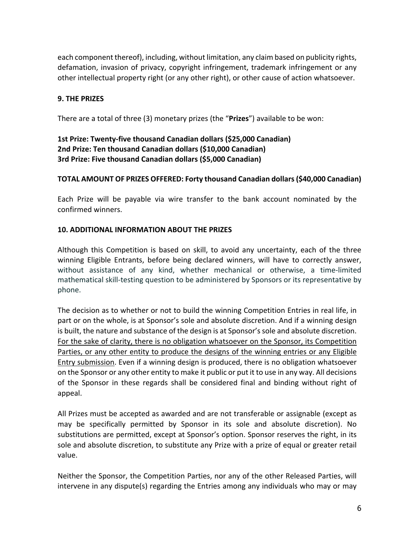each component thereof), including, without limitation, any claim based on publicity rights, defamation, invasion of privacy, copyright infringement, trademark infringement or any other intellectual property right (or any other right), or other cause of action whatsoever.

#### **9. THE PRIZES**

There are a total of three (3) monetary prizes (the "**Prizes**") available to be won:

# **1st Prize: Twenty-five thousand Canadian dollars (\$25,000 Canadian) 2nd Prize: Ten thousand Canadian dollars (\$10,000 Canadian) 3rd Prize: Five thousand Canadian dollars (\$5,000 Canadian)**

#### **TOTAL AMOUNT OF PRIZES OFFERED: Forty thousand Canadian dollars (\$40,000 Canadian)**

Each Prize will be payable via wire transfer to the bank account nominated by the confirmed winners.

#### **10. ADDITIONAL INFORMATION ABOUT THE PRIZES**

Although this Competition is based on skill, to avoid any uncertainty, each of the three winning Eligible Entrants, before being declared winners, will have to correctly answer, without assistance of any kind, whether mechanical or otherwise, a time-limited mathematical skill-testing question to be administered by Sponsors or its representative by phone.

The decision as to whether or not to build the winning Competition Entries in real life, in part or on the whole, is at Sponsor's sole and absolute discretion. And if a winning design is built, the nature and substance of the design is at Sponsor's sole and absolute discretion. For the sake of clarity, there is no obligation whatsoever on the Sponsor, its Competition Parties, or any other entity to produce the designs of the winning entries or any Eligible Entry submission. Even if a winning design is produced, there is no obligation whatsoever on the Sponsor or any other entity to make it public or put it to use in any way. All decisions of the Sponsor in these regards shall be considered final and binding without right of appeal.

All Prizes must be accepted as awarded and are not transferable or assignable (except as may be specifically permitted by Sponsor in its sole and absolute discretion). No substitutions are permitted, except at Sponsor's option. Sponsor reserves the right, in its sole and absolute discretion, to substitute any Prize with a prize of equal or greater retail value.

Neither the Sponsor, the Competition Parties, nor any of the other Released Parties, will intervene in any dispute(s) regarding the Entries among any individuals who may or may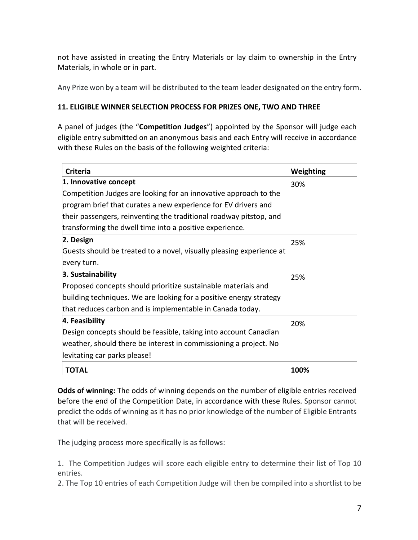not have assisted in creating the Entry Materials or lay claim to ownership in the Entry Materials, in whole or in part.

Any Prize won by a team will be distributed to the team leader designated on the entry form.

# **11. ELIGIBLE WINNER SELECTION PROCESS FOR PRIZES ONE, TWO AND THREE**

A panel of judges (the "**Competition Judges**") appointed by the Sponsor will judge each eligible entry submitted on an anonymous basis and each Entry will receive in accordance with these Rules on the basis of the following weighted criteria:

| <b>Criteria</b>                                                      | Weighting |
|----------------------------------------------------------------------|-----------|
| 1. Innovative concept                                                | 30%       |
| Competition Judges are looking for an innovative approach to the     |           |
| program brief that curates a new experience for EV drivers and       |           |
| their passengers, reinventing the traditional roadway pitstop, and   |           |
| transforming the dwell time into a positive experience.              |           |
| 2. Design                                                            | 25%       |
| Guests should be treated to a novel, visually pleasing experience at |           |
| every turn.                                                          |           |
| 3. Sustainability                                                    | 25%       |
| Proposed concepts should prioritize sustainable materials and        |           |
| building techniques. We are looking for a positive energy strategy   |           |
| that reduces carbon and is implementable in Canada today.            |           |
| 4. Feasibility                                                       | 20%       |
| Design concepts should be feasible, taking into account Canadian     |           |
| weather, should there be interest in commissioning a project. No     |           |
| levitating car parks please!                                         |           |
| TOTAL                                                                | 100%      |

**Odds of winning:** The odds of winning depends on the number of eligible entries received before the end of the Competition Date, in accordance with these Rules. Sponsor cannot predict the odds of winning as it has no prior knowledge of the number of Eligible Entrants that will be received.

The judging process more specifically is as follows:

1. The Competition Judges will score each eligible entry to determine their list of Top 10 entries.

2. The Top 10 entries of each Competition Judge will then be compiled into a shortlist to be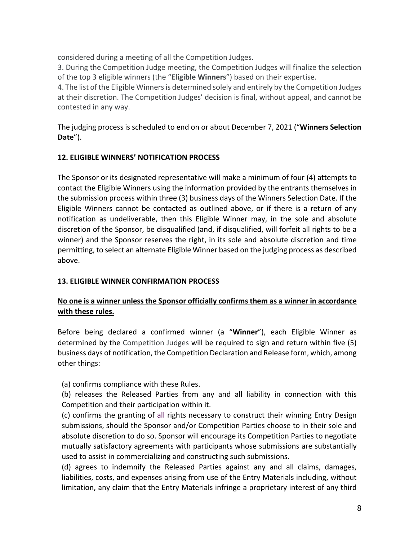considered during a meeting of all the Competition Judges.

3. During the Competition Judge meeting, the Competition Judges will finalize the selection of the top 3 eligible winners (the "**Eligible Winners**") based on their expertise.

4. The list of the Eligible Winners is determined solely and entirely by the Competition Judges at their discretion. The Competition Judges' decision is final, without appeal, and cannot be contested in any way.

The judging process is scheduled to end on or about December 7, 2021 ("**Winners Selection Date**").

# **12. ELIGIBLE WINNERS' NOTIFICATION PROCESS**

The Sponsor or its designated representative will make a minimum of four (4) attempts to contact the Eligible Winners using the information provided by the entrants themselves in the submission process within three (3) business days of the Winners Selection Date. If the Eligible Winners cannot be contacted as outlined above, or if there is a return of any notification as undeliverable, then this Eligible Winner may, in the sole and absolute discretion of the Sponsor, be disqualified (and, if disqualified, will forfeit all rights to be a winner) and the Sponsor reserves the right, in its sole and absolute discretion and time permitting, to select an alternate Eligible Winner based on the judging process as described above.

## **13. ELIGIBLE WINNER CONFIRMATION PROCESS**

# **No one is a winner unless the Sponsor officially confirms them as a winner in accordance with these rules.**

Before being declared a confirmed winner (a "**Winner**"), each Eligible Winner as determined by the Competition Judges will be required to sign and return within five (5) business days of notification, the Competition Declaration and Release form, which, among other things:

(a) confirms compliance with these Rules.

(b) releases the Released Parties from any and all liability in connection with this Competition and their participation within it.

(c) confirms the granting of all rights necessary to construct their winning Entry Design submissions, should the Sponsor and/or Competition Parties choose to in their sole and absolute discretion to do so. Sponsor will encourage its Competition Parties to negotiate mutually satisfactory agreements with participants whose submissions are substantially used to assist in commercializing and constructing such submissions.

(d) agrees to indemnify the Released Parties against any and all claims, damages, liabilities, costs, and expenses arising from use of the Entry Materials including, without limitation, any claim that the Entry Materials infringe a proprietary interest of any third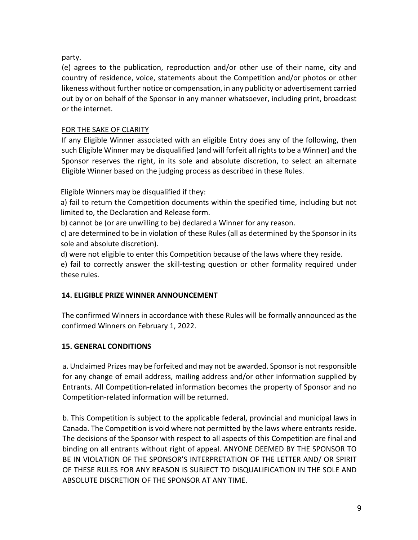party.

(e) agrees to the publication, reproduction and/or other use of their name, city and country of residence, voice, statements about the Competition and/or photos or other likeness without further notice or compensation, in any publicity or advertisement carried out by or on behalf of the Sponsor in any manner whatsoever, including print, broadcast or the internet.

# FOR THE SAKE OF CLARITY

If any Eligible Winner associated with an eligible Entry does any of the following, then such Eligible Winner may be disqualified (and will forfeit all rights to be a Winner) and the Sponsor reserves the right, in its sole and absolute discretion, to select an alternate Eligible Winner based on the judging process as described in these Rules.

Eligible Winners may be disqualified if they:

a) fail to return the Competition documents within the specified time, including but not limited to, the Declaration and Release form.

b) cannot be (or are unwilling to be) declared a Winner for any reason.

c) are determined to be in violation of these Rules (all as determined by the Sponsor in its sole and absolute discretion).

d) were not eligible to enter this Competition because of the laws where they reside.

e) fail to correctly answer the skill-testing question or other formality required under these rules.

## **14. ELIGIBLE PRIZE WINNER ANNOUNCEMENT**

The confirmed Winners in accordance with these Rules will be formally announced as the confirmed Winners on February 1, 2022.

# **15. GENERAL CONDITIONS**

a. Unclaimed Prizes may be forfeited and may not be awarded. Sponsor is not responsible for any change of email address, mailing address and/or other information supplied by Entrants. All Competition-related information becomes the property of Sponsor and no Competition-related information will be returned.

b. This Competition is subject to the applicable federal, provincial and municipal laws in Canada. The Competition is void where not permitted by the laws where entrants reside. The decisions of the Sponsor with respect to all aspects of this Competition are final and binding on all entrants without right of appeal. ANYONE DEEMED BY THE SPONSOR TO BE IN VIOLATION OF THE SPONSOR'S INTERPRETATION OF THE LETTER AND/ OR SPIRIT OF THESE RULES FOR ANY REASON IS SUBJECT TO DISQUALIFICATION IN THE SOLE AND ABSOLUTE DISCRETION OF THE SPONSOR AT ANY TIME.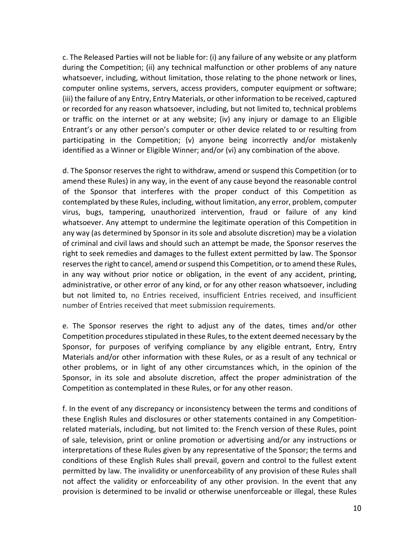c. The Released Parties will not be liable for: (i) any failure of any website or any platform during the Competition; (ii) any technical malfunction or other problems of any nature whatsoever, including, without limitation, those relating to the phone network or lines, computer online systems, servers, access providers, computer equipment or software; (iii) the failure of any Entry, Entry Materials, or other information to be received, captured or recorded for any reason whatsoever, including, but not limited to, technical problems or traffic on the internet or at any website; (iv) any injury or damage to an Eligible Entrant's or any other person's computer or other device related to or resulting from participating in the Competition; (v) anyone being incorrectly and/or mistakenly identified as a Winner or Eligible Winner; and/or (vi) any combination of the above.

d. The Sponsor reserves the right to withdraw, amend or suspend this Competition (or to amend these Rules) in any way, in the event of any cause beyond the reasonable control of the Sponsor that interferes with the proper conduct of this Competition as contemplated by these Rules, including, without limitation, any error, problem, computer virus, bugs, tampering, unauthorized intervention, fraud or failure of any kind whatsoever. Any attempt to undermine the legitimate operation of this Competition in any way (as determined by Sponsor in its sole and absolute discretion) may be a violation of criminal and civil laws and should such an attempt be made, the Sponsor reserves the right to seek remedies and damages to the fullest extent permitted by law. The Sponsor reserves the right to cancel, amend or suspend this Competition, or to amend these Rules, in any way without prior notice or obligation, in the event of any accident, printing, administrative, or other error of any kind, or for any other reason whatsoever, including but not limited to, no Entries received, insufficient Entries received, and insufficient number of Entries received that meet submission requirements.

e. The Sponsor reserves the right to adjust any of the dates, times and/or other Competition proceduresstipulated in these Rules, to the extent deemed necessary by the Sponsor, for purposes of verifying compliance by any eligible entrant, Entry, Entry Materials and/or other information with these Rules, or as a result of any technical or other problems, or in light of any other circumstances which, in the opinion of the Sponsor, in its sole and absolute discretion, affect the proper administration of the Competition as contemplated in these Rules, or for any other reason.

f. In the event of any discrepancy or inconsistency between the terms and conditions of these English Rules and disclosures or other statements contained in any Competitionrelated materials, including, but not limited to: the French version of these Rules, point of sale, television, print or online promotion or advertising and/or any instructions or interpretations of these Rules given by any representative of the Sponsor; the terms and conditions of these English Rules shall prevail, govern and control to the fullest extent permitted by law. The invalidity or unenforceability of any provision of these Rules shall not affect the validity or enforceability of any other provision. In the event that any provision is determined to be invalid or otherwise unenforceable or illegal, these Rules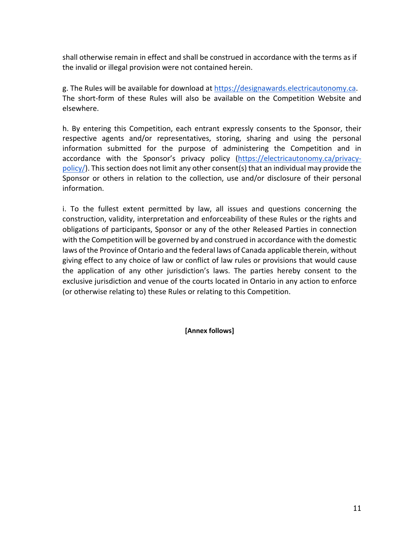shall otherwise remain in effect and shall be construed in accordance with the terms as if the invalid or illegal provision were not contained herein.

g. The Rules will be available for download at https://designawards.electricautonomy.ca. The short-form of these Rules will also be available on the Competition Website and elsewhere.

h. By entering this Competition, each entrant expressly consents to the Sponsor, their respective agents and/or representatives, storing, sharing and using the personal information submitted for the purpose of administering the Competition and in accordance with the Sponsor's privacy policy (https://electricautonomy.ca/privacypolicy/). This section does not limit any other consent(s) that an individual may provide the Sponsor or others in relation to the collection, use and/or disclosure of their personal information.

i. To the fullest extent permitted by law, all issues and questions concerning the construction, validity, interpretation and enforceability of these Rules or the rights and obligations of participants, Sponsor or any of the other Released Parties in connection with the Competition will be governed by and construed in accordance with the domestic laws of the Province of Ontario and the federal laws of Canada applicable therein, without giving effect to any choice of law or conflict of law rules or provisions that would cause the application of any other jurisdiction's laws. The parties hereby consent to the exclusive jurisdiction and venue of the courts located in Ontario in any action to enforce (or otherwise relating to) these Rules or relating to this Competition.

**[Annex follows]**